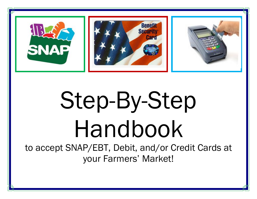

# Step-By-Step Handbook

to accept SNAP/EBT, Debit, and/or Credit Cards at your Farmers' Market!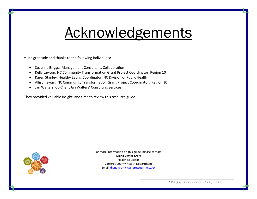## Acknowledgements

Much gratitude and thanks to the following individuals:

- Suzanne Briggs; Management Consultant, Collaboration
- Kelly Lawton, NC Community Transformation Grant Project Coordinator, Region 10
- Karen Stanley, Healthy Eating Coordinator, NC Division of Public Health
- Allison Swart, NC Community Transformation Grant Project Coordinator, Region 10
- Jan Walters, Co-Chair, Jan Walters' Consulting Services

They provided valuable insight, and time to review this resource guide.



For more information on this guide, please contact: **Diana Vetter Craft** Health Educator Carteret County Health Department Email[: diana.craft@carteretcountync.gov](mailto:diana.craft@carteretcountync.gov)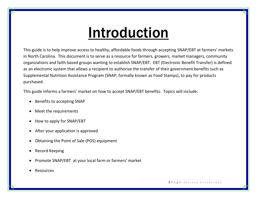# Introduction

This guide is to help improve access to healthy, affordable foods through accepting SNAP/EBT at farmers' markets in North Carolina. This document is to serve as a resource for farmers, growers, market managers, community organizations and faith-based groups wanting to establish SNAP/EBT. EBT (Electronic Benefit Transfer) is defined as an electronic system that allows a recipient to authorize the transfer of their government benefits such as Supplemental Nutrition Assistance Program (SNAP, formally known as Food Stamps), to pay for products purchased.

This guide informs a farmers' market on how to accept SNAP/EBT benefits. Topics will include:

- Benefits to accepting SNAP
- Meet the requirements
- How to apply for SNAP/EBT
- After your application is approved
- Obtaining the Point of Sale (POS) equipment
- Record Keeping
- Promote SNAP/EBT at your local farm or farmers' market
- Resources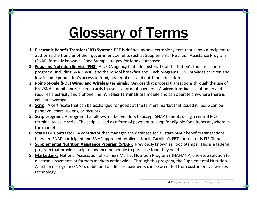# Glossary of Terms

- **1. Electronic Benefit Transfer (EBT) System**: EBT is defined as an electronic system that allows a recipient to authorize the transfer of their government benefits such as Supplemental Nutrition Assistance Program (SNAP, formally known as Food Stamps), to pay for foods purchased.
- **2. Food and Nutrition Service (FNS)**: A USDA agency that administers 15 of the Nation's food assistance programs, including SNAP, WIC, and the School breakfast and lunch programs. FNS provides children and low-income population's access to food, healthful diet and nutrition education.
- **3. Point-of-Sale (POS) Wired and Wireless terminals:** Devices that process transactions through the use of EBT/SNAP, debit, and/or credit cards to use as a form of payment. A **wired terminal** is stationary and requires electricity and a phone line. **Wireless terminals** are mobile and can operate anywhere there is cellular coverage.
- **4. Scrip:** A certificate that can be exchanged for goods at the farmers market that issued it. Scrip can be paper vouchers, tokens, or receipts.
- **5. Scrip program:** A program that allows market vendors to accept SNAP benefits using a central POS terminal to issue scrip. The scrip is used as a form of payment to shop for eligible food items anywhere in the market.
- **6. State EBT Contractor:** A contractor that manages the database for all state SNAP benefits transactions between SNAP participant and SNAP approved retailers. North Carolina's EBT contractor is FIS Global
- **7. Supplemental Nutrition Assistance Program (SNAP):** Previously known as Food Stamps. This is a federal program that provides help to low-income people to purchase food they need.
- **8. MarketLink:** National Association of Farmers Market Nutrition Program's (NAFMNP) one-stop solution for electronic payments at farmers markets nationwide. Through this program, the Supplemental Nutrition Assistance Program (SNAP), debit, and credit card payments can be accepted from customers via wireless technology.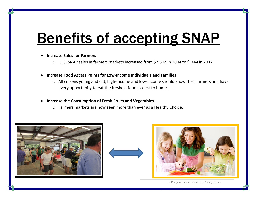# **Benefits of accepting SNAP**

#### **Increase Sales for Farmers**

- o U.S. SNAP sales in farmers markets increased from \$2.5 M in 2004 to \$16M in 2012.
- **Increase Food Access Points for Low-Income Individuals and Families**
	- o All citizens young and old, high-income and low-income should know their farmers and have every opportunity to eat the freshest food closest to home.

#### **Increase the Consumption of Fresh Fruits and Vegetables**

o Farmers markets are now seen more than ever as a Healthy Choice.





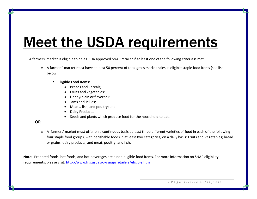# Meet the USDA requirements

A farmers' market is eligible to be a USDA approved SNAP retailer if at least one of the following criteria is met.

- $\circ$  A farmers' market must have at least 50 percent of total gross market sales in eligible staple food items (see list below).
	- **Eligible Food Items:**
		- Breads and Cereals:
		- Fruits and vegetables;
		- Honey(plain or flavored);
		- Jams and Jellies:
		- Meats, fish, and poultry; and
		- Dairy Products.
		- Seeds and plants which produce food for the household to eat.

#### **OR**

 $\circ$  A farmers' market must offer on a continuous basis at least three different varieties of food in each of the following four staple food groups, with perishable foods in at least two categories, on a daily basis: Fruits and Vegetables; bread or grains; dairy products; and meat, poultry, and fish.

**Note:** Prepared foods, hot foods, and hot beverages are a non-eligible food items. For more information on SNAP eligibility requirements, please visit:<http://www.fns.usda.gov/snap/retailers/eligible.htm>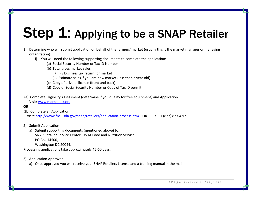### Step 1: Applying to be a SNAP Retailer

- 1) Determine who will submit application on behalf of the farmers' market (usually this is the market manager or managing organization)
	- i) You will need the following supporting documents to complete the application:
		- (a) Social Security Number or Tax ID Number
		- (b) Total gross market sales
			- (i) IRS business tax return for market
			- (ii) Estimate sales if you are new market (less than a year old)
		- (c) Copy of drivers' license (front and back)
		- (d) Copy of Social Security Number or Copy of Tax ID permit
- 2a) Complete Eligibility Assessment (determine if you qualify for free equipment) and Application Visit: [www.marketlink.org](http://www.marketlink.org/)

#### **OR**

2b) Complete an Application

Visit:<http://www.fns.usda.gov/snap/retailers/application-process.htm>**OR** Call: 1 (877) 823-4369

2) Submit Application

a) Submit supporting documents (mentioned above) to: SNAP Retailer Service Center, USDA Food and Nutrition Service PO Box 14500, Washington DC 20044.

Processing applications take approximately 45-60 days.

- 3) Application Approved:
	- a) Once approved you will receive your SNAP Retailers License and a training manual in the mail.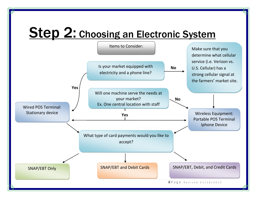### **Step 2: Choosing an Electronic System**

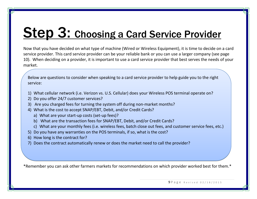### **Step 3: Choosing a Card Service Provider**

Now that you have decided on what type of machine (Wired or Wireless Equipment), it is time to decide on a card service provider. This card service provider can be your reliable bank or you can use a larger company (see page 10). When deciding on a provider, it is important to use a card service provider that best serves the needs of your market.

Below are questions to consider when speaking to a card service provider to help guide you to the right service:

- 1) What cellular network (i.e. Verizon vs. U.S. Cellular) does your Wireless POS terminal operate on?
- 2) Do you offer 24/7 customer services?
- 3) Are you charged fees for turning the system off during non-market months?
- 4) What is the cost to accept SNAP/EBT, Debit, and/or Credit Cards?
	- a) What are your start-up costs (set-up fees)?
	- b) What are the transaction fees for SNAP/EBT, Debit, and/or Credit Cards?
	- c) What are your monthly fees (i.e. wireless fees, batch close out fees, and customer service fees, etc.)
- 5) Do you have any warranties on the POS terminals, if so, what is the cost?
- 6) How long is the contract for?
- 7) Does the contract automatically renew or does the market need to call the provider?

\*Remember you can ask other farmers markets for recommendations on which provider worked best for them.\*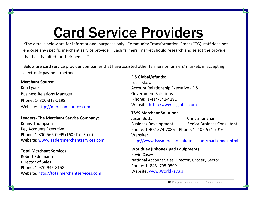# Card Service Providers

\*The details below are for informational purposes only. Community Transformation Grant (CTG) staff does not endorse any specific merchant service provider. Each farmers' market should research and select the provider that best is suited for their needs. \*

Below are card service provider companies that have assisted other farmers or farmers' markets in accepting electronic payment methods.

#### **Merchant Source:**

Kim Lyons Business Relations Manager Phone: 1- 800-313-5198 Website: [http://merchantsource.com](http://merchantsource.com/)

#### **Leaders- The Merchant Service Company:**

Kenny Thompson Key Accounts Executive Phone: 1-800-566-0099x160 (Toll Free) Website: [www.leadersmerchantservices.com](http://www.leadersmerchantservices.com/)

**Total Merchant Services** Robert Edelmann Director of Sales Phone: 1-970-945-8158 Website: [http://totalmerchantservices.com](http://totalmerchantservices.com/)

#### **FIS Global/efunds:**

Lucia Skow Account Relationship Executive - FIS Government Solutions Phone: 1-414-341-4291 Website: [http://www.fisglobal.com](http://www.fisglobal.com/)

#### **TSYS Merchant Solution:**

Jason Butts Chris Shanahan Business Development Senior Business Consultant Phone: 1-402-574-7086 Phone: 1- 402-574-7016 Website:

<http://www.tsysmerchantsolutions.com/mark/index.html>

**WorldPay (Iphone/Ipad Equipment)**  Kevin Casey National Account Sales Director, Grocery Sector Phone: 1- 843- 795-0509 Website: [www.WorldPay.us](http://www.worldpay.us/)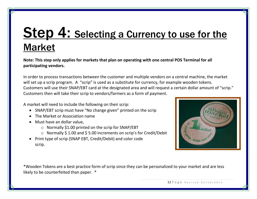### **Step 4: Selecting a Currency to use for the** Market

**Note: This step only applies for markets that plan on operating with one central POS Terminal for all participating vendors.** 

In order to process transactions between the customer and multiple vendors on a central machine, the market will set up a scrip program. A "scrip" is used as a substitute for currency, for example wooden tokens. Customers will use their SNAP/EBT card at the designated area and will request a certain dollar amount of "scrip." Customers then will take their scrip to vendors/farmers as a form of payment.

A market will need to include the following on their scrip:

- SNAP/EBT scrip must have "No change given" printed on the scrip
- The Market or Association name
- Must have an dollar value,
	- o Normally \$1.00 printed on the scrip for SNAP/EBT
	- o Normally \$ 1.00 and \$ 5.00 increments on scrip's for Credit/Debit
- Print type of scrip (SNAP EBT, Credit/Debit) and color code scrip.



\*Wooden Tokens are a best practice form of scrip since they can be personalized to your market and are less likely to be counterfeited than paper. \*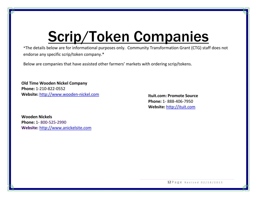# Scrip/Token Companies

\*The details below are for informational purposes only. Community Transformation Grant (CTG) staff does not endorse any specific scrip/token company.\*

Below are companies that have assisted other farmers' markets with ordering scrip/tokens.

**Old Time Wooden Nickel Company Phone:** 1-210-822-0552 **Website:** [http://www.wooden-nickel.com](http://www.wooden-nickel.com/)

**Ituit.com: Promote Source Phone:** 1- 888-406-7950 **Website:** [http://ituit.com](http://ituit.com/)

**Wooden Nickels Phone:** 1- 800-525-2990 **Website:** [http://www.anickelsite.com](http://www.anickelsite.com/)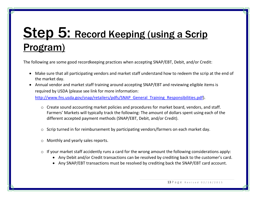### Step 5: Record Keeping (using a Scrip Program)

The following are some good recordkeeping practices when accepting SNAP/EBT, Debit, and/or Credit:

- Make sure that all participating vendors and market staff understand how to redeem the scrip at the end of the market day.
- Annual vendor and market staff training around accepting SNAP/EBT and reviewing eligible items is required by USDA (please see link for more information:

http://www.fns.usda.gov/snap/retailers/pdfs/SNAP General Training Responsibilities.pdf).

- o Create sound accounting market policies and procedures for market board, vendors, and staff. Farmers' Markets will typically track the following: The amount of dollars spent using each of the different accepted payment methods (SNAP/EBT, Debit, and/or Credit).
- o Scrip turned in for reimbursement by participating vendors/farmers on each market day.
- o Monthly and yearly sales reports.
- o If your market staff accidently runs a card for the wrong amount the following considerations apply:
	- Any Debit and/or Credit transactions can be resolved by crediting back to the customer's card.
	- Any SNAP/EBT transactions must be resolved by crediting back the SNAP/EBT card account.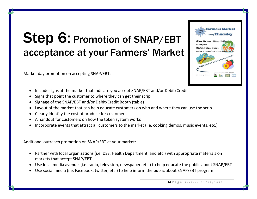### Step 6: Promotion of SNAP/EBT acceptance at your Farmers' Market

Market day promotion on accepting SNAP/EBT:

- Include signs at the market that indicate you accept SNAP/EBT and/or Debit/Credit
- Signs that point the customer to where they can get their scrip
- Signage of the SNAP/EBT and/or Debit/Credit Booth (table)
- Layout of the market that can help educate customers on who and where they can use the scrip
- Clearly identify the cost of produce for customers
- A handout for customers on how the token system works
- Incorporate events that attract all customers to the market (i.e. cooking demos, music events, etc.)

Additional outreach promotion on SNAP/EBT at your market:

- Partner with local organizations (i.e. DSS, Health Department, and etc.) with appropriate materials on markets that accept SNAP/EBT
- Use local media avenues(i.e. radio, television, newspaper, etc.) to help educate the public about SNAP/EBT
- Use social media (i.e. Facebook, twitter, etc.) to help inform the public about SNAP/EBT program

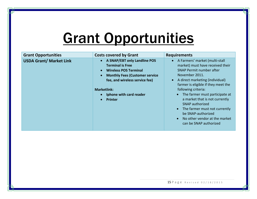# Grant Opportunities

| <b>Grant Opportunities</b>     | <b>Costs covered by Grant</b>                                                                                                                                                                                                  | <b>Requirements</b>                                                                                                                                                                                                                                                                                                                                                                                                                        |
|--------------------------------|--------------------------------------------------------------------------------------------------------------------------------------------------------------------------------------------------------------------------------|--------------------------------------------------------------------------------------------------------------------------------------------------------------------------------------------------------------------------------------------------------------------------------------------------------------------------------------------------------------------------------------------------------------------------------------------|
| <b>USDA Grant/ Market Link</b> | A SNAP/EBT only Landline POS<br><b>Terminal is Free</b><br><b>Wireless POS Terminal</b><br><b>Monthly Fees (Customer service</b><br>fee, and wireless service fee)<br><b>Marketlink:</b><br>Iphone with card reader<br>Printer | • A Farmers' market (multi-stall<br>market) must have received their<br><b>SNAP Permit number after</b><br>November 2011.<br>A direct marketing (individual)<br>farmer is eligible if they meet the<br>following criteria:<br>The farmer must participate at<br>a market that is not currently<br><b>SNAP authorized</b><br>The farmer must not currently<br>be SNAP-authorized<br>No other vendor at the market<br>can be SNAP authorized |